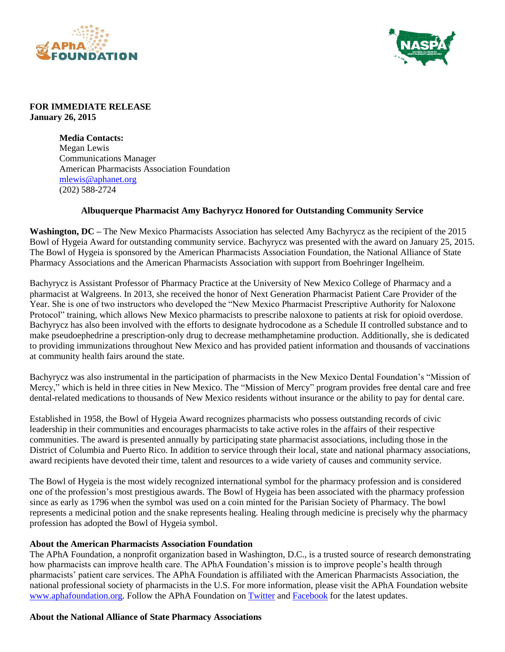



## **FOR IMMEDIATE RELEASE January 26, 2015**

**Media Contacts:** Megan Lewis Communications Manager American Pharmacists Association Foundation [mlewis@aphanet.org](mailto:mlewis@aphanet.org) (202) 588-2724

## **Albuquerque Pharmacist Amy Bachyrycz Honored for Outstanding Community Service**

**Washington, DC –** The New Mexico Pharmacists Association has selected Amy Bachyrycz as the recipient of the 2015 Bowl of Hygeia Award for outstanding community service. Bachyrycz was presented with the award on January 25, 2015. The Bowl of Hygeia is sponsored by the American Pharmacists Association Foundation, the National Alliance of State Pharmacy Associations and the American Pharmacists Association with support from Boehringer Ingelheim.

Bachyrycz is Assistant Professor of Pharmacy Practice at the University of New Mexico College of Pharmacy and a pharmacist at Walgreens. In 2013, she received the honor of Next Generation Pharmacist Patient Care Provider of the Year. She is one of two instructors who developed the "New Mexico Pharmacist Prescriptive Authority for Naloxone Protocol" training, which allows New Mexico pharmacists to prescribe naloxone to patients at risk for opioid overdose. Bachyrycz has also been involved with the efforts to designate hydrocodone as a Schedule II controlled substance and to make pseudoephedrine a prescription-only drug to decrease methamphetamine production. Additionally, she is dedicated to providing immunizations throughout New Mexico and has provided patient information and thousands of vaccinations at community health fairs around the state.

Bachyrycz was also instrumental in the participation of pharmacists in the New Mexico Dental Foundation's "Mission of Mercy," which is held in three cities in New Mexico. The "Mission of Mercy" program provides free dental care and free dental-related medications to thousands of New Mexico residents without insurance or the ability to pay for dental care.

Established in 1958, the Bowl of Hygeia Award recognizes pharmacists who possess outstanding records of civic leadership in their communities and encourages pharmacists to take active roles in the affairs of their respective communities. The award is presented annually by participating state pharmacist associations, including those in the District of Columbia and Puerto Rico. In addition to service through their local, state and national pharmacy associations, award recipients have devoted their time, talent and resources to a wide variety of causes and community service.

The Bowl of Hygeia is the most widely recognized international symbol for the pharmacy profession and is considered one of the profession's most prestigious awards. The Bowl of Hygeia has been associated with the pharmacy profession since as early as 1796 when the symbol was used on a coin minted for the Parisian Society of Pharmacy. The bowl represents a medicinal potion and the snake represents healing. Healing through medicine is precisely why the pharmacy profession has adopted the Bowl of Hygeia symbol.

## **About the American Pharmacists Association Foundation**

The APhA Foundation, a nonprofit organization based in Washington, D.C., is a trusted source of research demonstrating how pharmacists can improve health care. The APhA Foundation's mission is to improve people's health through pharmacists' patient care services. The APhA Foundation is affiliated with the American Pharmacists Association, the national professional society of pharmacists in the U.S. For more information, please visit the APhA Foundation website [www.aphafoundation.org.](file:///C:/Users/mroberson/AppData/Local/Microsoft/Windows/Temporary%20Internet%20Files/Content.Outlook/0CV33R3J/www.aphafoundation.org) Follow the APhA Foundation on [Twitter](http://www.twitter.com/aphafoundation) an[d Facebook](http://www.facebook.com/aphafoundation) for the latest updates.

## **About the National Alliance of State Pharmacy Associations**